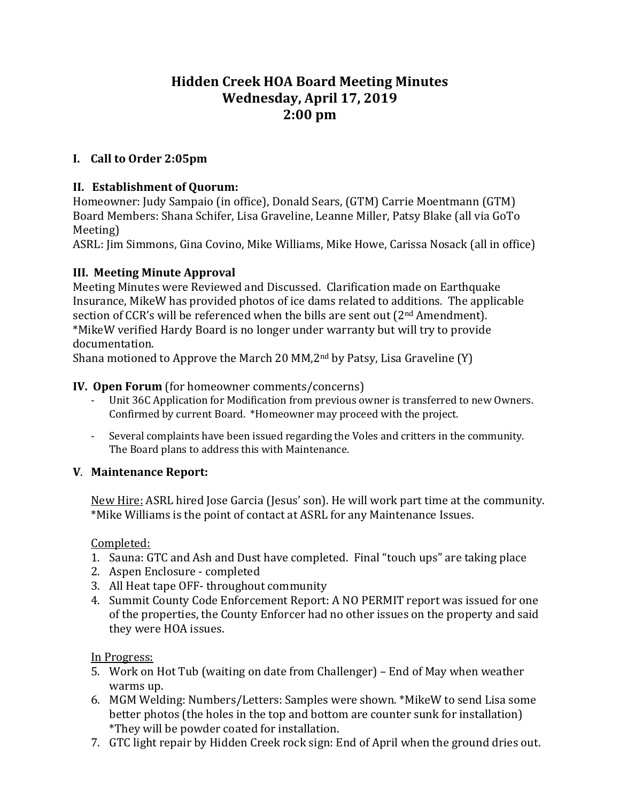# **Hidden Creek HOA Board Meeting Minutes Wednesday, April 17, 2019 2:00 pm**

### **I. Call to Order 2:05pm**

#### **II. Establishment of Quorum:**

Homeowner: Judy Sampaio (in office), Donald Sears, (GTM) Carrie Moentmann (GTM) Board Members: Shana Schifer, Lisa Graveline, Leanne Miller, Patsy Blake (all via GoTo Meeting)

ASRL: Jim Simmons, Gina Covino, Mike Williams, Mike Howe, Carissa Nosack (all in office)

### **III. Meeting Minute Approval**

Meeting Minutes were Reviewed and Discussed. Clarification made on Earthquake Insurance, MikeW has provided photos of ice dams related to additions. The applicable section of CCR's will be referenced when the bills are sent out  $(2<sup>nd</sup> Amendment)$ . \*MikeW verified Hardy Board is no longer under warranty but will try to provide documentation.

Shana motioned to Approve the March 20 MM,2nd by Patsy, Lisa Graveline (Y)

#### **IV. Open Forum** (for homeowner comments/concerns)

- Unit 36C Application for Modification from previous owner is transferred to new Owners. Confirmed by current Board. \*Homeowner may proceed with the project.
- Several complaints have been issued regarding the Voles and critters in the community. The Board plans to address this with Maintenance.

### **V**. **Maintenance Report:**

New Hire: ASRL hired Jose Garcia (Jesus' son). He will work part time at the community. \*Mike Williams is the point of contact at ASRL for any Maintenance Issues.

#### Completed:

- 1. Sauna: GTC and Ash and Dust have completed. Final "touch ups" are taking place
- 2. Aspen Enclosure completed
- 3. All Heat tape OFF- throughout community
- 4. Summit County Code Enforcement Report: A NO PERMIT report was issued for one of the properties, the County Enforcer had no other issues on the property and said they were HOA issues.

#### In Progress:

- 5. Work on Hot Tub (waiting on date from Challenger) End of May when weather warms up.
- 6. MGM Welding: Numbers/Letters: Samples were shown. \*MikeW to send Lisa some better photos (the holes in the top and bottom are counter sunk for installation) \*They will be powder coated for installation.
- 7. GTC light repair by Hidden Creek rock sign: End of April when the ground dries out.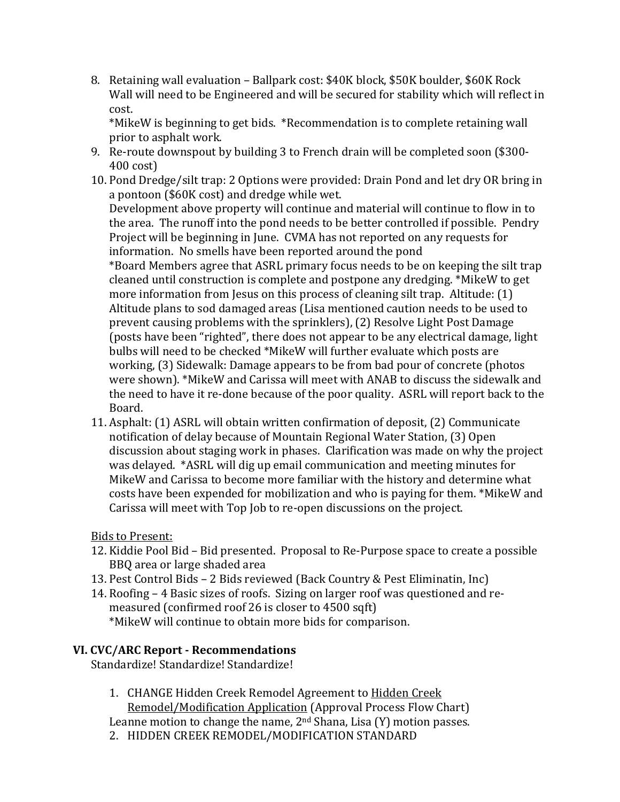8. Retaining wall evaluation – Ballpark cost: \$40K block, \$50K boulder, \$60K Rock Wall will need to be Engineered and will be secured for stability which will reflect in cost.

\*MikeW is beginning to get bids. \*Recommendation is to complete retaining wall prior to asphalt work.

- 9. Re-route downspout by building 3 to French drain will be completed soon (\$300- 400 cost)
- 10. Pond Dredge/silt trap: 2 Options were provided: Drain Pond and let dry OR bring in a pontoon (\$60K cost) and dredge while wet.

Development above property will continue and material will continue to flow in to the area. The runoff into the pond needs to be better controlled if possible. Pendry Project will be beginning in June. CVMA has not reported on any requests for information. No smells have been reported around the pond \*Board Members agree that ASRL primary focus needs to be on keeping the silt trap

cleaned until construction is complete and postpone any dredging. \*MikeW to get more information from Jesus on this process of cleaning silt trap. Altitude: (1) Altitude plans to sod damaged areas (Lisa mentioned caution needs to be used to prevent causing problems with the sprinklers), (2) Resolve Light Post Damage (posts have been "righted", there does not appear to be any electrical damage, light bulbs will need to be checked \*MikeW will further evaluate which posts are working, (3) Sidewalk: Damage appears to be from bad pour of concrete (photos were shown). \*MikeW and Carissa will meet with ANAB to discuss the sidewalk and the need to have it re-done because of the poor quality. ASRL will report back to the Board.

11. Asphalt: (1) ASRL will obtain written confirmation of deposit, (2) Communicate notification of delay because of Mountain Regional Water Station, (3) Open discussion about staging work in phases. Clarification was made on why the project was delayed. \*ASRL will dig up email communication and meeting minutes for MikeW and Carissa to become more familiar with the history and determine what costs have been expended for mobilization and who is paying for them. \*MikeW and Carissa will meet with Top Job to re-open discussions on the project.

### Bids to Present:

- 12. Kiddie Pool Bid Bid presented. Proposal to Re-Purpose space to create a possible BBQ area or large shaded area
- 13. Pest Control Bids 2 Bids reviewed (Back Country & Pest Eliminatin, Inc)
- 14. Roofing 4 Basic sizes of roofs. Sizing on larger roof was questioned and remeasured (confirmed roof 26 is closer to 4500 sqft) \*MikeW will continue to obtain more bids for comparison.

### **VI. CVC/ARC Report - Recommendations**

Standardize! Standardize! Standardize!

1. CHANGE Hidden Creek Remodel Agreement to Hidden Creek Remodel/Modification Application (Approval Process Flow Chart)

Leanne motion to change the name,  $2<sup>nd</sup>$  Shana, Lisa (Y) motion passes. 2. HIDDEN CREEK REMODEL/MODIFICATION STANDARD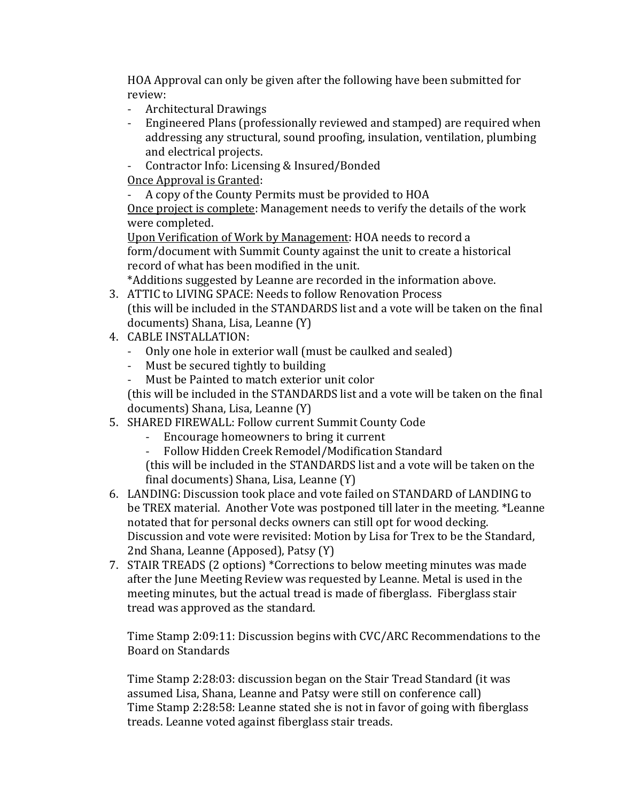HOA Approval can only be given after the following have been submitted for review:

- Architectural Drawings<br>- Engineered Plans (profe
- Engineered Plans (professionally reviewed and stamped) are required when addressing any structural, sound proofing, insulation, ventilation, plumbing and electrical projects.
- Contractor Info: Licensing & Insured/Bonded

Once Approval is Granted:

- A copy of the County Permits must be provided to HOA

Once project is complete: Management needs to verify the details of the work were completed.

Upon Verification of Work by Management: HOA needs to record a form/document with Summit County against the unit to create a historical record of what has been modified in the unit.

\*Additions suggested by Leanne are recorded in the information above.

- 3. ATTIC to LIVING SPACE: Needs to follow Renovation Process (this will be included in the STANDARDS list and a vote will be taken on the final documents) Shana, Lisa, Leanne (Y)
- 4. CABLE INSTALLATION:
	- Only one hole in exterior wall (must be caulked and sealed)
	- Must be secured tightly to building
	- Must be Painted to match exterior unit color

(this will be included in the STANDARDS list and a vote will be taken on the final documents) Shana, Lisa, Leanne (Y)

- 5. SHARED FIREWALL: Follow current Summit County Code
	- Encourage homeowners to bring it current<br>- Follow Hidden Creek Remodel/Modification
	- Follow Hidden Creek Remodel/Modification Standard

(this will be included in the STANDARDS list and a vote will be taken on the final documents) Shana, Lisa, Leanne (Y)

- 6. LANDING: Discussion took place and vote failed on STANDARD of LANDING to be TREX material. Another Vote was postponed till later in the meeting. \*Leanne notated that for personal decks owners can still opt for wood decking. Discussion and vote were revisited: Motion by Lisa for Trex to be the Standard, 2nd Shana, Leanne (Apposed), Patsy (Y)
- 7. STAIR TREADS (2 options) \*Corrections to below meeting minutes was made after the June Meeting Review was requested by Leanne. Metal is used in the meeting minutes, but the actual tread is made of fiberglass. Fiberglass stair tread was approved as the standard.

Time Stamp 2:09:11: Discussion begins with CVC/ARC Recommendations to the Board on Standards

Time Stamp 2:28:03: discussion began on the Stair Tread Standard (it was assumed Lisa, Shana, Leanne and Patsy were still on conference call) Time Stamp 2:28:58: Leanne stated she is not in favor of going with fiberglass treads. Leanne voted against fiberglass stair treads.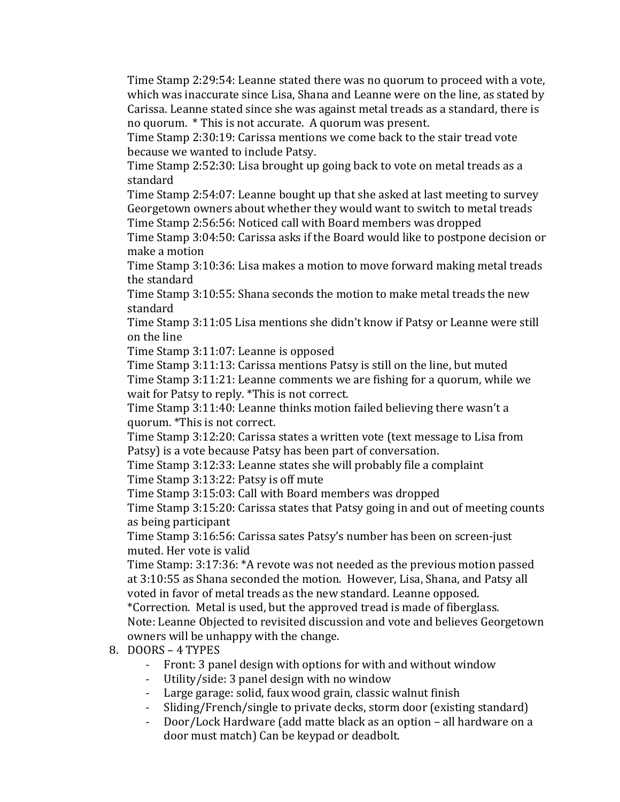Time Stamp 2:29:54: Leanne stated there was no quorum to proceed with a vote, which was inaccurate since Lisa, Shana and Leanne were on the line, as stated by Carissa. Leanne stated since she was against metal treads as a standard, there is no quorum. \* This is not accurate. A quorum was present.

Time Stamp 2:30:19: Carissa mentions we come back to the stair tread vote because we wanted to include Patsy.

Time Stamp 2:52:30: Lisa brought up going back to vote on metal treads as a standard

Time Stamp 2:54:07: Leanne bought up that she asked at last meeting to survey Georgetown owners about whether they would want to switch to metal treads Time Stamp 2:56:56: Noticed call with Board members was dropped

Time Stamp 3:04:50: Carissa asks if the Board would like to postpone decision or make a motion

Time Stamp 3:10:36: Lisa makes a motion to move forward making metal treads the standard

Time Stamp 3:10:55: Shana seconds the motion to make metal treads the new standard

Time Stamp 3:11:05 Lisa mentions she didn't know if Patsy or Leanne were still on the line

Time Stamp 3:11:07: Leanne is opposed

Time Stamp 3:11:13: Carissa mentions Patsy is still on the line, but muted Time Stamp 3:11:21: Leanne comments we are fishing for a quorum, while we wait for Patsy to reply. \*This is not correct.

Time Stamp 3:11:40: Leanne thinks motion failed believing there wasn't a quorum. \*This is not correct.

Time Stamp 3:12:20: Carissa states a written vote (text message to Lisa from Patsy) is a vote because Patsy has been part of conversation.

Time Stamp 3:12:33: Leanne states she will probably file a complaint Time Stamp 3:13:22: Patsy is off mute

Time Stamp 3:15:03: Call with Board members was dropped

Time Stamp 3:15:20: Carissa states that Patsy going in and out of meeting counts as being participant

Time Stamp 3:16:56: Carissa sates Patsy's number has been on screen-just muted. Her vote is valid

Time Stamp: 3:17:36: \*A revote was not needed as the previous motion passed at 3:10:55 as Shana seconded the motion. However, Lisa, Shana, and Patsy all voted in favor of metal treads as the new standard. Leanne opposed.

\*Correction. Metal is used, but the approved tread is made of fiberglass. Note: Leanne Objected to revisited discussion and vote and believes Georgetown owners will be unhappy with the change.

- 8. DOORS 4 TYPES
	- Front: 3 panel design with options for with and without window<br>- Utility/side: 3 panel design with no window
	- Utility/side: 3 panel design with no window
	- Large garage: solid, faux wood grain, classic walnut finish
	- Sliding/French/single to private decks, storm door (existing standard)
	- Door/Lock Hardware (add matte black as an option all hardware on a door must match) Can be keypad or deadbolt.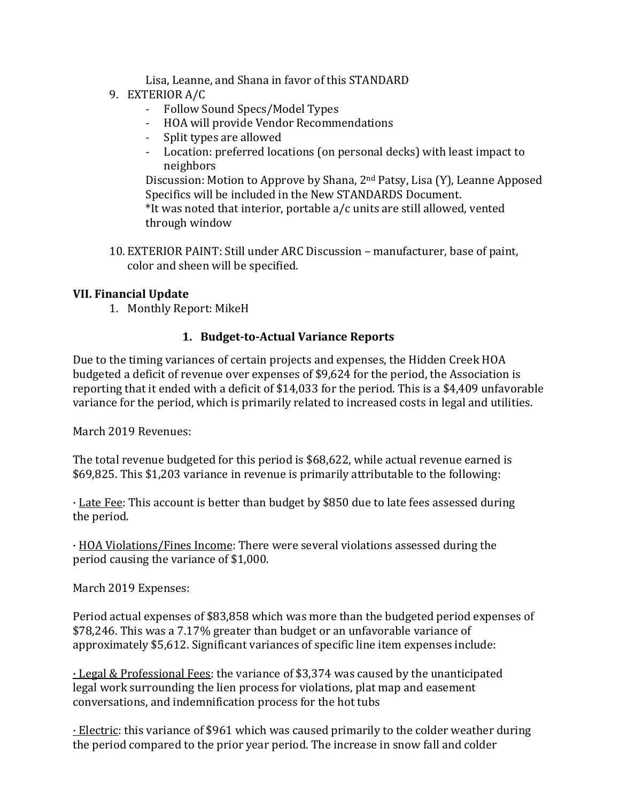Lisa, Leanne, and Shana in favor of this STANDARD

- 9. EXTERIOR A/C
	- Follow Sound Specs/Model Types
	- HOA will provide Vendor Recommendations
	- Split types are allowed
	- Location: preferred locations (on personal decks) with least impact to neighbors

Discussion: Motion to Approve by Shana, 2nd Patsy, Lisa (Y), Leanne Apposed Specifics will be included in the New STANDARDS Document. \*It was noted that interior, portable a/c units are still allowed, vented through window

10. EXTERIOR PAINT: Still under ARC Discussion – manufacturer, base of paint, color and sheen will be specified.

#### **VII. Financial Update**

1. Monthly Report: MikeH

### **1. Budget-to-Actual Variance Reports**

Due to the timing variances of certain projects and expenses, the Hidden Creek HOA budgeted a deficit of revenue over expenses of \$9,624 for the period, the Association is reporting that it ended with a deficit of \$14,033 for the period. This is a \$4,409 unfavorable variance for the period, which is primarily related to increased costs in legal and utilities.

March 2019 Revenues:

The total revenue budgeted for this period is \$68,622, while actual revenue earned is \$69,825. This \$1,203 variance in revenue is primarily attributable to the following:

· Late Fee: This account is better than budget by \$850 due to late fees assessed during the period.

· HOA Violations/Fines Income: There were several violations assessed during the period causing the variance of \$1,000.

March 2019 Expenses:

Period actual expenses of \$83,858 which was more than the budgeted period expenses of \$78,246. This was a 7.17% greater than budget or an unfavorable variance of approximately \$5,612. Significant variances of specific line item expenses include:

· Legal & Professional Fees: the variance of \$3,374 was caused by the unanticipated legal work surrounding the lien process for violations, plat map and easement conversations, and indemnification process for the hot tubs

· Electric: this variance of \$961 which was caused primarily to the colder weather during the period compared to the prior year period. The increase in snow fall and colder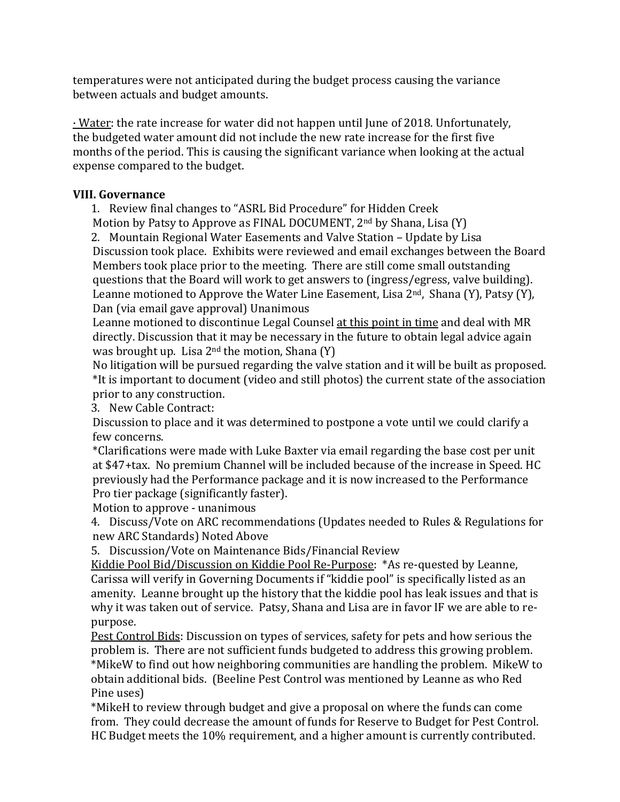temperatures were not anticipated during the budget process causing the variance between actuals and budget amounts.

· Water: the rate increase for water did not happen until June of 2018. Unfortunately, the budgeted water amount did not include the new rate increase for the first five months of the period. This is causing the significant variance when looking at the actual expense compared to the budget.

### **VIII. Governance**

1. Review final changes to "ASRL Bid Procedure" for Hidden Creek Motion by Patsy to Approve as FINAL DOCUMENT, 2nd by Shana, Lisa (Y) 2. Mountain Regional Water Easements and Valve Station – Update by Lisa

Discussion took place. Exhibits were reviewed and email exchanges between the Board Members took place prior to the meeting. There are still come small outstanding questions that the Board will work to get answers to (ingress/egress, valve building). Leanne motioned to Approve the Water Line Easement, Lisa  $2<sup>nd</sup>$ , Shana (Y), Patsy (Y), Dan (via email gave approval) Unanimous

Leanne motioned to discontinue Legal Counsel at this point in time and deal with MR directly. Discussion that it may be necessary in the future to obtain legal advice again was brought up. Lisa  $2^{nd}$  the motion, Shana (Y)

No litigation will be pursued regarding the valve station and it will be built as proposed. \*It is important to document (video and still photos) the current state of the association prior to any construction.

3. New Cable Contract:

Discussion to place and it was determined to postpone a vote until we could clarify a few concerns.

\*Clarifications were made with Luke Baxter via email regarding the base cost per unit at \$47+tax. No premium Channel will be included because of the increase in Speed. HC previously had the Performance package and it is now increased to the Performance Pro tier package (significantly faster).

Motion to approve - unanimous

4. Discuss/Vote on ARC recommendations (Updates needed to Rules & Regulations for new ARC Standards) Noted Above

5. Discussion/Vote on Maintenance Bids/Financial Review

Kiddie Pool Bid/Discussion on Kiddie Pool Re-Purpose: \*As re-quested by Leanne, Carissa will verify in Governing Documents if "kiddie pool" is specifically listed as an amenity. Leanne brought up the history that the kiddie pool has leak issues and that is why it was taken out of service. Patsy, Shana and Lisa are in favor IF we are able to repurpose.

Pest Control Bids: Discussion on types of services, safety for pets and how serious the problem is. There are not sufficient funds budgeted to address this growing problem. \*MikeW to find out how neighboring communities are handling the problem. MikeW to obtain additional bids. (Beeline Pest Control was mentioned by Leanne as who Red Pine uses)

\*MikeH to review through budget and give a proposal on where the funds can come from. They could decrease the amount of funds for Reserve to Budget for Pest Control. HC Budget meets the 10% requirement, and a higher amount is currently contributed.